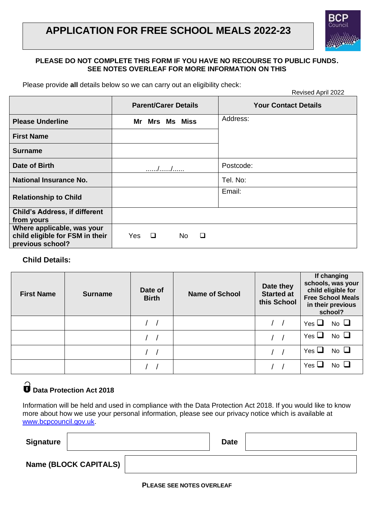## **APPLICATION FOR FREE SCHOOL MEALS 2022-23**

### **PLEASE DO NOT COMPLETE THIS FORM IF YOU HAVE NO RECOURSE TO PUBLIC FUNDS. SEE NOTES OVERLEAF FOR MORE INFORMATION ON THIS**

Please provide **all** details below so we can carry out an eligibility check:

|                                                                                   |                             | Revised April 2022          |  |  |  |
|-----------------------------------------------------------------------------------|-----------------------------|-----------------------------|--|--|--|
|                                                                                   | <b>Parent/Carer Details</b> | <b>Your Contact Details</b> |  |  |  |
| <b>Please Underline</b>                                                           | Mr Mrs<br><b>Ms Miss</b>    | Address:                    |  |  |  |
| <b>First Name</b>                                                                 |                             |                             |  |  |  |
| Surname                                                                           |                             |                             |  |  |  |
| Date of Birth                                                                     |                             | Postcode:                   |  |  |  |
| <b>National Insurance No.</b>                                                     |                             | Tel. No:                    |  |  |  |
| <b>Relationship to Child</b>                                                      |                             | Email:                      |  |  |  |
| <b>Child's Address, if different</b><br>from yours                                |                             |                             |  |  |  |
| Where applicable, was your<br>child eligible for FSM in their<br>previous school? | Yes<br>$\Box$<br>No.<br>□   |                             |  |  |  |

### **Child Details:**

| <b>First Name</b> | <b>Surname</b> | Date of<br><b>Birth</b> | <b>Name of School</b> | Date they<br><b>Started at</b><br>this School | If changing<br>schools, was your<br>child eligible for<br><b>Free School Meals</b><br>in their previous<br>school? |
|-------------------|----------------|-------------------------|-----------------------|-----------------------------------------------|--------------------------------------------------------------------------------------------------------------------|
|                   |                |                         |                       |                                               | $No$ $\Box$<br>Yes $\Box$                                                                                          |
|                   |                |                         |                       |                                               | No $\square$<br>Yes $\Box$                                                                                         |
|                   |                |                         |                       |                                               | No $\Box$<br>Yes $\sqcup$                                                                                          |
|                   |                |                         |                       |                                               | $No$ $\Box$<br>Yes $\sqcup$                                                                                        |

# **Data Protection Act 2018**

Information will be held and used in compliance with the Data Protection Act 2018. If you would like to know more about how we use your personal information, please see our privacy notice which is available at [www.bcpcouncil.gov.uk.](http://www.bcpcouncil.gov.uk/)

| <b>Signature</b> |                              | <b>Date</b> |  |
|------------------|------------------------------|-------------|--|
|                  | <b>Name (BLOCK CAPITALS)</b> |             |  |

**PLEASE SEE NOTES OVERLEAF**